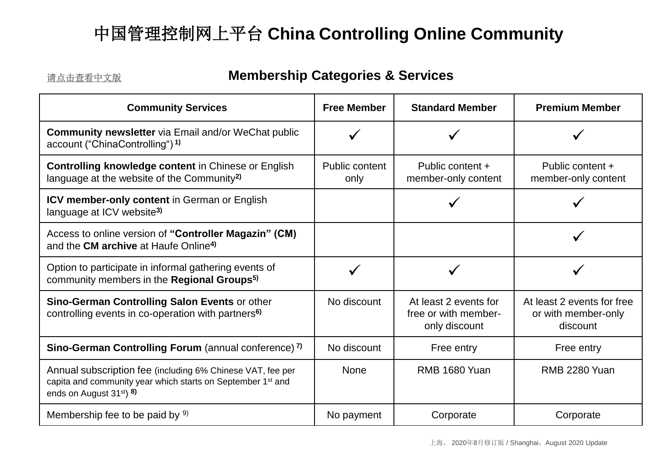### <span id="page-0-0"></span>[请点击查看中文版](#page-2-0) **Membership Categories & Services**

| <b>Community Services</b>                                                                                                                                                                | <b>Free Member</b>     | <b>Standard Member</b>                                         | <b>Premium Member</b>                                         |
|------------------------------------------------------------------------------------------------------------------------------------------------------------------------------------------|------------------------|----------------------------------------------------------------|---------------------------------------------------------------|
| <b>Community newsletter</b> via Email and/or WeChat public<br>account ("ChinaControlling") 1)                                                                                            |                        |                                                                |                                                               |
| <b>Controlling knowledge content in Chinese or English</b><br>language at the website of the Community <sup>2)</sup>                                                                     | Public content<br>only | Public content +<br>member-only content                        | Public content +<br>member-only content                       |
| <b>ICV member-only content in German or English</b><br>language at ICV website <sup>3)</sup>                                                                                             |                        |                                                                |                                                               |
| Access to online version of "Controller Magazin" (CM)<br>and the <b>CM archive</b> at Haufe Online <sup>4)</sup>                                                                         |                        |                                                                |                                                               |
| Option to participate in informal gathering events of<br>community members in the Regional Groups <sup>5)</sup>                                                                          |                        |                                                                |                                                               |
| Sino-German Controlling Salon Events or other<br>controlling events in co-operation with partners <sup>6)</sup>                                                                          | No discount            | At least 2 events for<br>free or with member-<br>only discount | At least 2 events for free<br>or with member-only<br>discount |
| Sino-German Controlling Forum (annual conference) 7)                                                                                                                                     | No discount            | Free entry                                                     | Free entry                                                    |
| Annual subscription fee (including 6% Chinese VAT, fee per<br>capita and community year which starts on September 1 <sup>st</sup> and<br>ends on August 31 <sup>st</sup> ) <sup>8)</sup> | None                   | <b>RMB 1680 Yuan</b>                                           | RMB 2280 Yuan                                                 |
| Membership fee to be paid by 9)                                                                                                                                                          | No payment             | Corporate                                                      | Corporate                                                     |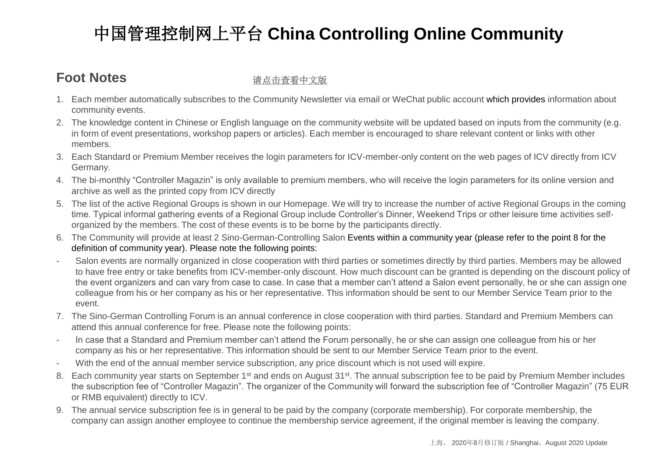### <span id="page-1-0"></span>**Foot Notes**

#### [请点击查看中文版](#page-2-0)

- 1. Each member automatically subscribes to the Community Newsletter via email or WeChat public account which provides information about community events.
- 2. The knowledge content in Chinese or English language on the community website will be updated based on inputs from the community (e.g. in form of event presentations, workshop papers or articles). Each member is encouraged to share relevant content or links with other members.
- 3. Each Standard or Premium Member receives the login parameters for ICV-member-only content on the web pages of ICV directly from ICV Germany.
- 4. The bi-monthly "Controller Magazin" is only available to premium members, who will receive the login parameters for its online version and archive as well as the printed copy from ICV directly
- 5. The list of the active Regional Groups is shown in our Homepage. We will try to increase the number of active Regional Groups in the coming time. Typical informal gathering events of a Regional Group include Controller's Dinner, Weekend Trips or other leisure time activities selforganized by the members. The cost of these events is to be borne by the participants directly.
- 6. The Community will provide at least 2 Sino-German-Controlling Salon Events within a community year (please refer to the point 8 for the definition of community year). Please note the following points:
- Salon events are normally organized in close cooperation with third parties or sometimes directly by third parties. Members may be allowed to have free entry or take benefits from ICV-member-only discount. How much discount can be granted is depending on the discount policy of the event organizers and can vary from case to case. In case that a member can't attend a Salon event personally, he or she can assign one colleague from his or her company as his or her representative. This information should be sent to our Member Service Team prior to the event.
- 7. The Sino-German Controlling Forum is an annual conference in close cooperation with third parties. Standard and Premium Members can attend this annual conference for free. Please note the following points:
- In case that a Standard and Premium member can't attend the Forum personally, he or she can assign one colleague from his or her company as his or her representative. This information should be sent to our Member Service Team prior to the event.
- With the end of the annual member service subscription, any price discount which is not used will expire.
- 8. Each community year starts on September 1<sup>st</sup> and ends on August 31<sup>st</sup>. The annual subscription fee to be paid by Premium Member includes the subscription fee of "Controller Magazin". The organizer of the Community will forward the subscription fee of "Controller Magazin" (75 EUR or RMB equivalent) directly to ICV.
- 9. The annual service subscription fee is in general to be paid by the company (corporate membership). For corporate membership, the company can assign another employee to continue the membership service agreement, if the original member is leaving the company.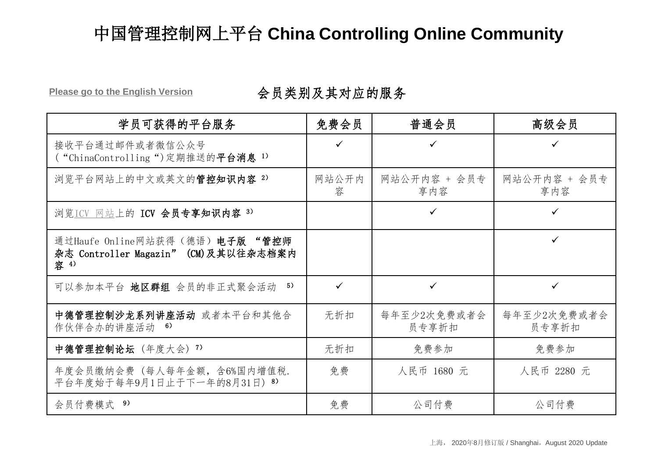<span id="page-2-0"></span>**[Please go to the English Version](#page-0-0)** 会员类别及其对应的服务

| 学员可获得的平台服务                                                                      | 免费会员         | 普通会员                 | 高级会员                 |
|---------------------------------------------------------------------------------|--------------|----------------------|----------------------|
| 接收平台通过邮件或者微信公众号<br>("ChinaControlling")定期推送的平台消息 1)                             | $\checkmark$ |                      |                      |
| 浏览平台网站上的中文或英文的管控知识内容 2)                                                         | 网站公开内<br>容   | 网站公开内容 + 会员专<br>享内容  | 网站公开内容 + 会员专<br>享内容  |
| 浏览ICV 网站上的 ICV 会员专享知识内容 3)                                                      |              | ✓                    | ✓                    |
| 通过Haufe Online网站获得(德语) 电子版 "管控师<br>杂志 Controller Magazin" (CM)及其以往杂志档案内<br>容 4) |              |                      | ✓                    |
| 5)<br>可以参加本平台 地区群组 会员的非正式聚会活动                                                   | $\checkmark$ | ✓                    | ✓                    |
| 中德管理控制沙龙系列讲座活动 或者本平台和其他合<br>作伙伴合办的讲座活动 6)                                       | 无折扣          | 每年至少2次免费或者会<br>员专享折扣 | 每年至少2次免费或者会<br>员专享折扣 |
| 中德管理控制论坛 (年度大会) 7)                                                              | 无折扣          | 免费参加                 | 免费参加                 |
| 年度会员缴纳会费 (每人每年金额, 含6%国内增值税.<br>平台年度始于每年9月1日止于下一年的8月31日) 8)                      | 免费           | 人民币 1680 元           | 人民币 2280 元           |
| 会员付费模式 9)                                                                       | 免费           | 公司付费                 | 公司付费                 |